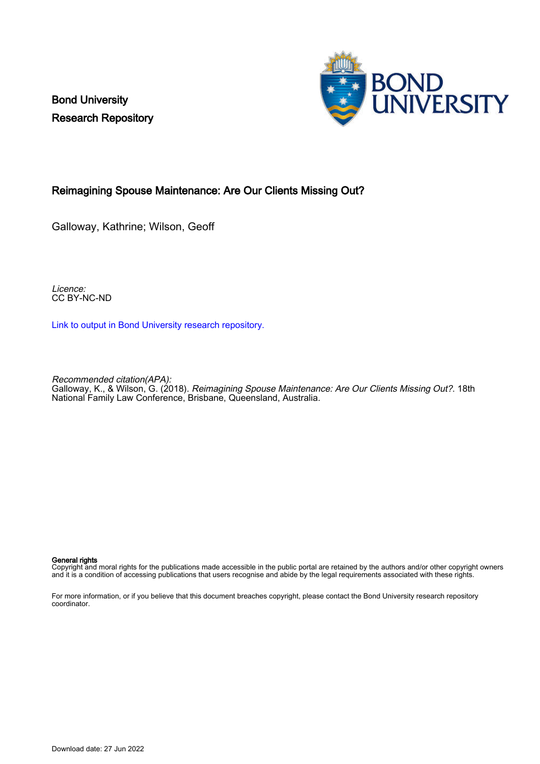Bond University Research Repository



# Reimagining Spouse Maintenance: Are Our Clients Missing Out?

Galloway, Kathrine; Wilson, Geoff

Licence: CC BY-NC-ND

[Link to output in Bond University research repository.](https://research.bond.edu.au/en/publications/26716b50-48f1-4725-9dba-c0a424900590)

Recommended citation(APA):

Galloway, K., & Wilson, G. (2018). Reimagining Spouse Maintenance: Are Our Clients Missing Out?. 18th National Family Law Conference, Brisbane, Queensland, Australia.

#### General rights

Copyright and moral rights for the publications made accessible in the public portal are retained by the authors and/or other copyright owners and it is a condition of accessing publications that users recognise and abide by the legal requirements associated with these rights.

For more information, or if you believe that this document breaches copyright, please contact the Bond University research repository coordinator.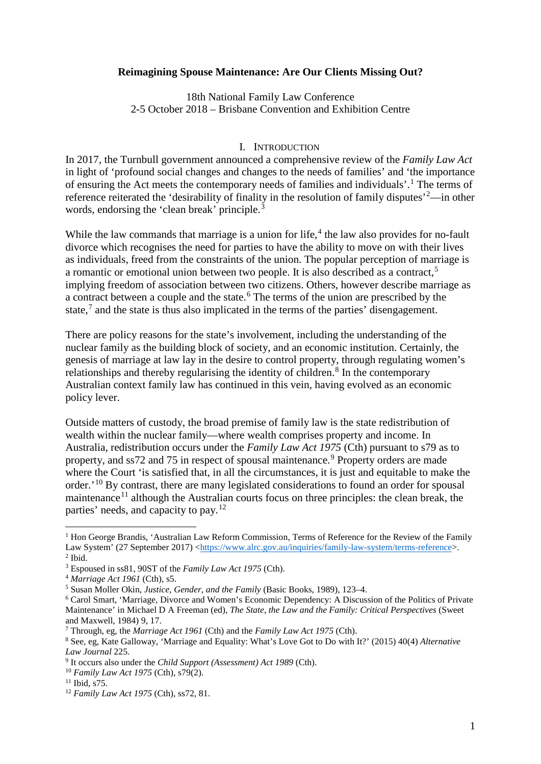#### **Reimagining Spouse Maintenance: Are Our Clients Missing Out?**

18th National Family Law Conference 2-5 October 2018 – Brisbane Convention and Exhibition Centre

#### I. INTRODUCTION

In 2017, the Turnbull government announced a comprehensive review of the *Family Law Act* in light of 'profound social changes and changes to the needs of families' and 'the importance of ensuring the Act meets the contemporary needs of families and individuals'.[1](#page-1-0) The terms of reference reiterated the 'desirability of finality in the resolution of family disputes<sup>'[2](#page-1-1)</sup>—in other words, endorsing the 'clean break' principle.<sup>[3](#page-1-2)</sup>

While the law commands that marriage is a union for life,<sup> $4$ </sup> the law also provides for no-fault divorce which recognises the need for parties to have the ability to move on with their lives as individuals, freed from the constraints of the union. The popular perception of marriage is a romantic or emotional union between two people. It is also described as a contract,<sup>[5](#page-1-4)</sup> implying freedom of association between two citizens. Others, however describe marriage as a contract between a couple and the state.<sup>[6](#page-1-5)</sup> The terms of the union are prescribed by the state, $<sup>7</sup>$  $<sup>7</sup>$  $<sup>7</sup>$  and the state is thus also implicated in the terms of the parties' disengagement.</sup>

There are policy reasons for the state's involvement, including the understanding of the nuclear family as the building block of society, and an economic institution. Certainly, the genesis of marriage at law lay in the desire to control property, through regulating women's relationships and thereby regularising the identity of children.[8](#page-1-7) In the contemporary Australian context family law has continued in this vein, having evolved as an economic policy lever.

Outside matters of custody, the broad premise of family law is the state redistribution of wealth within the nuclear family—where wealth comprises property and income. In Australia, redistribution occurs under the *Family Law Act 1975* (Cth) pursuant to s79 as to property, and ss72 and 75 in respect of spousal maintenance.<sup>[9](#page-1-8)</sup> Property orders are made where the Court 'is satisfied that, in all the circumstances, it is just and equitable to make the order.'[10](#page-1-9) By contrast, there are many legislated considerations to found an order for spousal maintenance<sup>[11](#page-1-10)</sup> although the Australian courts focus on three principles: the clean break, the parties' needs, and capacity to pay.[12](#page-1-11)

<span id="page-1-0"></span><sup>&</sup>lt;sup>1</sup> Hon George Brandis, 'Australian Law Reform Commission, Terms of Reference for the Review of the Family Law System' (27 September 2017) [<https://www.alrc.gov.au/inquiries/family-law-system/terms-reference>](https://www.alrc.gov.au/inquiries/family-law-system/terms-reference).<sup>2</sup> Ibid.

<span id="page-1-2"></span><span id="page-1-1"></span><sup>3</sup> Espoused in ss81, 90ST of the *Family Law Act 1975* (Cth).

<span id="page-1-3"></span><sup>&</sup>lt;sup>4</sup> Marriage Act 1961 (Cth), s5.<br><sup>5</sup> Susan Moller Okin, Justice, Gender, and the Family (Basic Books, 1989), 123–4.

<span id="page-1-5"></span><span id="page-1-4"></span><sup>&</sup>lt;sup>6</sup> Carol Smart, 'Marriage, Divorce and Women's Economic Dependency: A Discussion of the Politics of Private Maintenance' in Michael D A Freeman (ed), *The State, the Law and the Family: Critical Perspectives* (Sweet and Maxwell, 1984) 9, 17.

<span id="page-1-6"></span><sup>7</sup> Through, eg, the *Marriage Act 1961* (Cth) and the *Family Law Act 1975* (Cth).

<span id="page-1-7"></span><sup>8</sup> See, eg, Kate Galloway, 'Marriage and Equality: What's Love Got to Do with It?' (2015) 40(4) *Alternative Law Journal* 225.

<span id="page-1-8"></span><sup>9</sup> It occurs also under the *Child Support (Assessment) Act 1989* (Cth).

<span id="page-1-9"></span><sup>10</sup> *Family Law Act 1975* (Cth), s79(2).

<span id="page-1-10"></span> $11$  Ibid, s75.

<span id="page-1-11"></span><sup>12</sup> *Family Law Act 1975* (Cth), ss72, 81.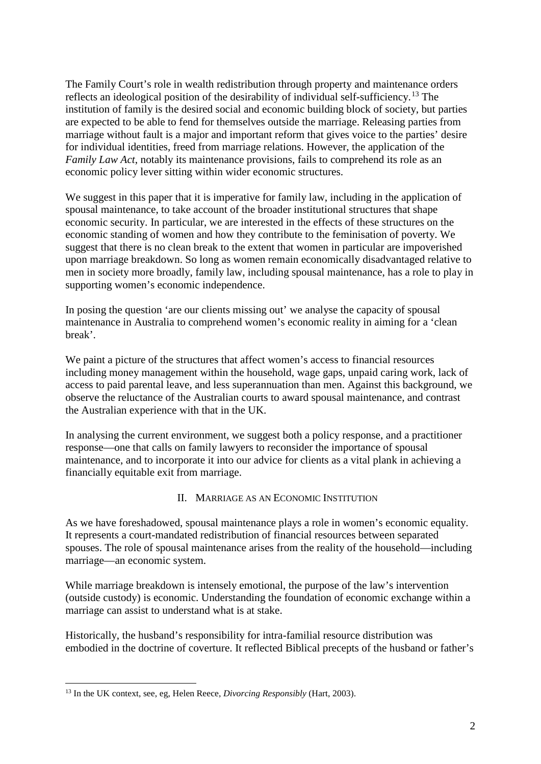The Family Court's role in wealth redistribution through property and maintenance orders reflects an ideological position of the desirability of individual self-sufficiency.[13](#page-2-0) The institution of family is the desired social and economic building block of society, but parties are expected to be able to fend for themselves outside the marriage. Releasing parties from marriage without fault is a major and important reform that gives voice to the parties' desire for individual identities, freed from marriage relations. However, the application of the *Family Law Act*, notably its maintenance provisions, fails to comprehend its role as an economic policy lever sitting within wider economic structures.

We suggest in this paper that it is imperative for family law, including in the application of spousal maintenance, to take account of the broader institutional structures that shape economic security. In particular, we are interested in the effects of these structures on the economic standing of women and how they contribute to the feminisation of poverty. We suggest that there is no clean break to the extent that women in particular are impoverished upon marriage breakdown. So long as women remain economically disadvantaged relative to men in society more broadly, family law, including spousal maintenance, has a role to play in supporting women's economic independence.

In posing the question 'are our clients missing out' we analyse the capacity of spousal maintenance in Australia to comprehend women's economic reality in aiming for a 'clean break'.

We paint a picture of the structures that affect women's access to financial resources including money management within the household, wage gaps, unpaid caring work, lack of access to paid parental leave, and less superannuation than men. Against this background, we observe the reluctance of the Australian courts to award spousal maintenance, and contrast the Australian experience with that in the UK.

In analysing the current environment, we suggest both a policy response, and a practitioner response—one that calls on family lawyers to reconsider the importance of spousal maintenance, and to incorporate it into our advice for clients as a vital plank in achieving a financially equitable exit from marriage.

## II. MARRIAGE AS AN ECONOMIC INSTITUTION

As we have foreshadowed, spousal maintenance plays a role in women's economic equality. It represents a court-mandated redistribution of financial resources between separated spouses. The role of spousal maintenance arises from the reality of the household—including marriage—an economic system.

While marriage breakdown is intensely emotional, the purpose of the law's intervention (outside custody) is economic. Understanding the foundation of economic exchange within a marriage can assist to understand what is at stake.

Historically, the husband's responsibility for intra-familial resource distribution was embodied in the doctrine of coverture. It reflected Biblical precepts of the husband or father's

<span id="page-2-0"></span> <sup>13</sup> In the UK context, see, eg, Helen Reece, *Divorcing Responsibly* (Hart, 2003).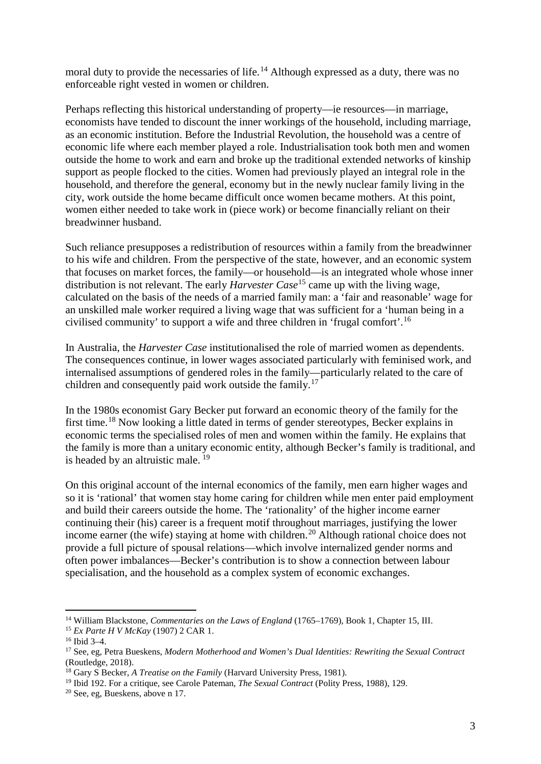moral duty to provide the necessaries of life.<sup>[14](#page-3-1)</sup> Although expressed as a duty, there was no enforceable right vested in women or children.

Perhaps reflecting this historical understanding of property—ie resources—in marriage, economists have tended to discount the inner workings of the household, including marriage, as an economic institution. Before the Industrial Revolution, the household was a centre of economic life where each member played a role. Industrialisation took both men and women outside the home to work and earn and broke up the traditional extended networks of kinship support as people flocked to the cities. Women had previously played an integral role in the household, and therefore the general, economy but in the newly nuclear family living in the city, work outside the home became difficult once women became mothers. At this point, women either needed to take work in (piece work) or become financially reliant on their breadwinner husband.

Such reliance presupposes a redistribution of resources within a family from the breadwinner to his wife and children. From the perspective of the state, however, and an economic system that focuses on market forces, the family—or household—is an integrated whole whose inner distribution is not relevant. The early *Harvester Case*<sup>[15](#page-3-2)</sup> came up with the living wage, calculated on the basis of the needs of a married family man: a 'fair and reasonable' wage for an unskilled male worker required a living wage that was sufficient for a 'human being in a civilised community' to support a wife and three children in 'frugal comfort'.[16](#page-3-3)

In Australia, the *Harvester Case* institutionalised the role of married women as dependents. The consequences continue, in lower wages associated particularly with feminised work, and internalised assumptions of gendered roles in the family—particularly related to the care of children and consequently paid work outside the family.<sup>[17](#page-3-4)</sup>

<span id="page-3-0"></span>In the 1980s economist Gary Becker put forward an economic theory of the family for the first time.<sup>[18](#page-3-5)</sup> Now looking a little dated in terms of gender stereotypes, Becker explains in economic terms the specialised roles of men and women within the family. He explains that the family is more than a unitary economic entity, although Becker's family is traditional, and is headed by an altruistic male. [19](#page-3-6)

On this original account of the internal economics of the family, men earn higher wages and so it is 'rational' that women stay home caring for children while men enter paid employment and build their careers outside the home. The 'rationality' of the higher income earner continuing their (his) career is a frequent motif throughout marriages, justifying the lower income earner (the wife) staying at home with children.<sup>[20](#page-3-7)</sup> Although rational choice does not provide a full picture of spousal relations—which involve internalized gender norms and often power imbalances—Becker's contribution is to show a connection between labour specialisation, and the household as a complex system of economic exchanges.

 <sup>14</sup> William Blackstone, *Commentaries on the Laws of England* (1765–1769), Book 1, Chapter 15, III.

<span id="page-3-2"></span><span id="page-3-1"></span><sup>15</sup> *Ex Parte H V McKay* (1907) 2 CAR 1.

<span id="page-3-3"></span><sup>16</sup> Ibid 3–4.

<span id="page-3-4"></span><sup>17</sup> See, eg, Petra Bueskens, *Modern Motherhood and Women's Dual Identities: Rewriting the Sexual Contract* (Routledge, 2018).

<span id="page-3-5"></span><sup>18</sup> Gary S Becker, *A Treatise on the Family* (Harvard University Press, 1981).

<span id="page-3-6"></span><sup>19</sup> Ibid 192. For a critique, see Carole Pateman, *The Sexual Contract* (Polity Press, 1988), 129.

<span id="page-3-7"></span><sup>20</sup> See, eg, Bueskens, above n [17.](#page-3-0)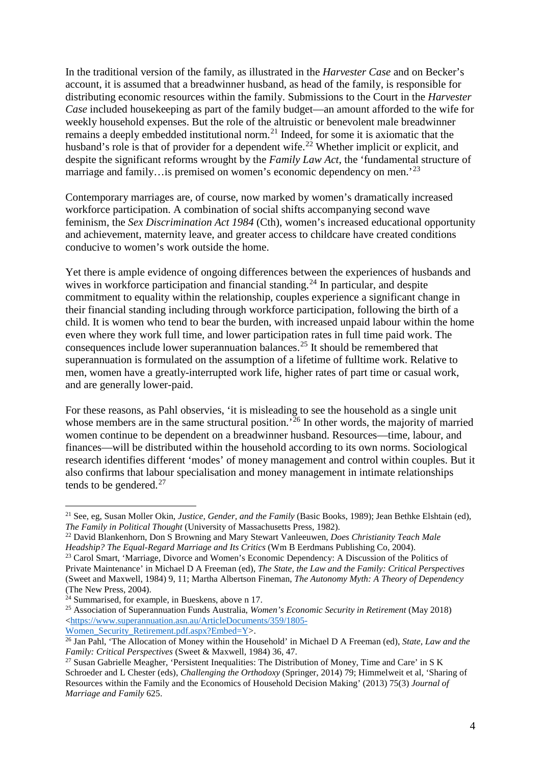In the traditional version of the family, as illustrated in the *Harvester Case* and on Becker's account, it is assumed that a breadwinner husband, as head of the family, is responsible for distributing economic resources within the family. Submissions to the Court in the *Harvester Case* included housekeeping as part of the family budget—an amount afforded to the wife for weekly household expenses. But the role of the altruistic or benevolent male breadwinner remains a deeply embedded institutional norm.[21](#page-4-0) Indeed, for some it is axiomatic that the husband's role is that of provider for a dependent wife.<sup>[22](#page-4-1)</sup> Whether implicit or explicit, and despite the significant reforms wrought by the *Family Law Act*, the 'fundamental structure of marriage and family…is premised on women's economic dependency on men.<sup>[23](#page-4-2)</sup>

Contemporary marriages are, of course, now marked by women's dramatically increased workforce participation. A combination of social shifts accompanying second wave feminism, the *Sex Discrimination Act 1984* (Cth), women's increased educational opportunity and achievement, maternity leave, and greater access to childcare have created conditions conducive to women's work outside the home.

Yet there is ample evidence of ongoing differences between the experiences of husbands and wives in workforce participation and financial standing.<sup>[24](#page-4-3)</sup> In particular, and despite commitment to equality within the relationship, couples experience a significant change in their financial standing including through workforce participation, following the birth of a child. It is women who tend to bear the burden, with increased unpaid labour within the home even where they work full time, and lower participation rates in full time paid work. The consequences include lower superannuation balances.[25](#page-4-4) It should be remembered that superannuation is formulated on the assumption of a lifetime of fulltime work. Relative to men, women have a greatly-interrupted work life, higher rates of part time or casual work, and are generally lower-paid.

For these reasons, as Pahl observies, 'it is misleading to see the household as a single unit whose members are in the same structural position.<sup> $26$ </sup> In other words, the majority of married women continue to be dependent on a breadwinner husband. Resources—time, labour, and finances—will be distributed within the household according to its own norms. Sociological research identifies different 'modes' of money management and control within couples. But it also confirms that labour specialisation and money management in intimate relationships tends to be gendered.<sup>[27](#page-4-6)</sup>

<span id="page-4-0"></span> <sup>21</sup> See, eg, Susan Moller Okin, *Justice, Gender, and the Family* (Basic Books, 1989); Jean Bethke Elshtain (ed), *The Family in Political Thought* (University of Massachusetts Press, 1982).

<span id="page-4-1"></span><sup>22</sup> David Blankenhorn, Don S Browning and Mary Stewart Vanleeuwen, *Does Christianity Teach Male Headship? The Equal-Regard Marriage and Its Critics* (Wm B Eerdmans Publishing Co, 2004).

<span id="page-4-2"></span><sup>&</sup>lt;sup>23</sup> Carol Smart, 'Marriage, Divorce and Women's Economic Dependency: A Discussion of the Politics of Private Maintenance' in Michael D A Freeman (ed), *The State, the Law and the Family: Critical Perspectives* (Sweet and Maxwell, 1984) 9, 11; Martha Albertson Fineman, *The Autonomy Myth: A Theory of Dependency* (The New Press, 2004).

<span id="page-4-3"></span> $24$  Summarised, for example, in Bueskens, above [n 17.](#page-3-0)

<span id="page-4-4"></span><sup>25</sup> Association of Superannuation Funds Australia, *Women's Economic Security in Retirement* (May 2018) [<https://www.superannuation.asn.au/ArticleDocuments/359/1805-](https://www.superannuation.asn.au/ArticleDocuments/359/1805-Women_Security_Retirement.pdf.aspx?Embed=Y)<br>Women Security Retirement.pdf.aspx?Embed=Y>.

<span id="page-4-5"></span><sup>&</sup>lt;sup>26</sup> Jan Pahl, 'The Allocation of Money within the Household' in Michael D A Freeman (ed), *State, Law and the Family: Critical Perspectives* (Sweet & Maxwell, 1984) 36, 47.

<span id="page-4-6"></span><sup>&</sup>lt;sup>27</sup> Susan Gabrielle Meagher, 'Persistent Inequalities: The Distribution of Money, Time and Care' in S K Schroeder and L Chester (eds), *Challenging the Orthodoxy* (Springer, 2014) 79; Himmelweit et al, 'Sharing of Resources within the Family and the Economics of Household Decision Making' (2013) 75(3) *Journal of Marriage and Family* 625.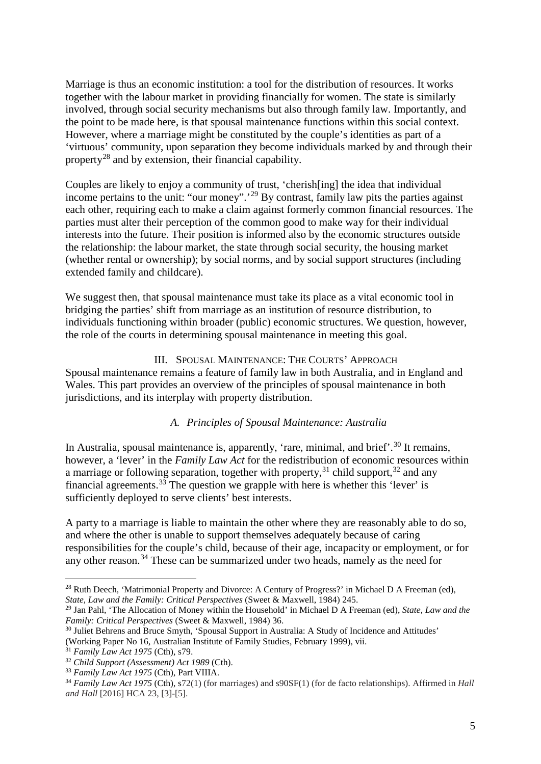Marriage is thus an economic institution: a tool for the distribution of resources. It works together with the labour market in providing financially for women. The state is similarly involved, through social security mechanisms but also through family law. Importantly, and the point to be made here, is that spousal maintenance functions within this social context. However, where a marriage might be constituted by the couple's identities as part of a 'virtuous' community, upon separation they become individuals marked by and through their property[28](#page-5-0) and by extension, their financial capability.

Couples are likely to enjoy a community of trust, 'cherish[ing] the idea that individual income pertains to the unit: "our money".'[29](#page-5-1) By contrast, family law pits the parties against each other, requiring each to make a claim against formerly common financial resources. The parties must alter their perception of the common good to make way for their individual interests into the future. Their position is informed also by the economic structures outside the relationship: the labour market, the state through social security, the housing market (whether rental or ownership); by social norms, and by social support structures (including extended family and childcare).

We suggest then, that spousal maintenance must take its place as a vital economic tool in bridging the parties' shift from marriage as an institution of resource distribution, to individuals functioning within broader (public) economic structures. We question, however, the role of the courts in determining spousal maintenance in meeting this goal.

# III. SPOUSAL MAINTENANCE: THE COURTS' APPROACH

Spousal maintenance remains a feature of family law in both Australia, and in England and Wales. This part provides an overview of the principles of spousal maintenance in both jurisdictions, and its interplay with property distribution.

# *A. Principles of Spousal Maintenance: Australia*

In Australia, spousal maintenance is, apparently, 'rare, minimal, and brief'.<sup>[30](#page-5-2)</sup> It remains, however, a 'lever' in the *Family Law Act* for the redistribution of economic resources within a marriage or following separation, together with property,  $31$  child support,  $32$  and any financial agreements.<sup>[33](#page-5-5)</sup> The question we grapple with here is whether this 'lever' is sufficiently deployed to serve clients' best interests.

A party to a marriage is liable to maintain the other where they are reasonably able to do so, and where the other is unable to support themselves adequately because of caring responsibilities for the couple's child, because of their age, incapacity or employment, or for any other reason.<sup>[34](#page-5-6)</sup> These can be summarized under two heads, namely as the need for

<span id="page-5-0"></span><sup>&</sup>lt;sup>28</sup> Ruth Deech, 'Matrimonial Property and Divorce: A Century of Progress?' in Michael D A Freeman (ed), *State, Law and the Family: Critical Perspectives* (Sweet & Maxwell, 1984) 245.

<span id="page-5-1"></span><sup>29</sup> Jan Pahl, 'The Allocation of Money within the Household' in Michael D A Freeman (ed), *State, Law and the Family: Critical Perspectives* (Sweet & Maxwell, 1984) 36.

<span id="page-5-2"></span><sup>&</sup>lt;sup>30</sup> Juliet Behrens and Bruce Smyth, 'Spousal Support in Australia: A Study of Incidence and Attitudes' (Working Paper No 16, Australian Institute of Family Studies, February 1999), vii.

<span id="page-5-3"></span><sup>31</sup> *Family Law Act 1975* (Cth), s79.

<span id="page-5-4"></span><sup>32</sup> *Child Support (Assessment) Act 1989* (Cth).

<span id="page-5-5"></span><sup>33</sup> *Family Law Act 1975* (Cth), Part VIIIA.

<span id="page-5-6"></span><sup>34</sup> *Family Law Act 1975* (Cth), s72(1) (for marriages) and s90SF(1) (for de facto relationships). Affirmed in *Hall and Hall* [2016] HCA 23, [3]-[5].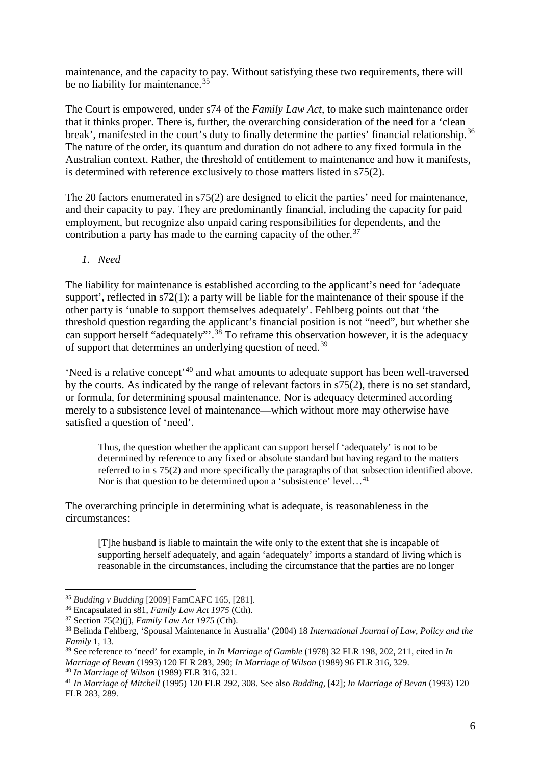maintenance, and the capacity to pay. Without satisfying these two requirements, there will be no liability for maintenance.<sup>[35](#page-6-0)</sup>

The Court is empowered, under s74 of the *Family Law Act*, to make such maintenance order that it thinks proper. There is, further, the overarching consideration of the need for a 'clean break', manifested in the court's duty to finally determine the parties' financial relationship.<sup>[36](#page-6-1)</sup> The nature of the order, its quantum and duration do not adhere to any fixed formula in the Australian context. Rather, the threshold of entitlement to maintenance and how it manifests, is determined with reference exclusively to those matters listed in s75(2).

The 20 factors enumerated in s75(2) are designed to elicit the parties' need for maintenance, and their capacity to pay. They are predominantly financial, including the capacity for paid employment, but recognize also unpaid caring responsibilities for dependents, and the contribution a party has made to the earning capacity of the other.<sup>[37](#page-6-2)</sup>

<span id="page-6-7"></span>*1. Need*

The liability for maintenance is established according to the applicant's need for 'adequate support', reflected in s72(1): a party will be liable for the maintenance of their spouse if the other party is 'unable to support themselves adequately'. Fehlberg points out that 'the threshold question regarding the applicant's financial position is not "need", but whether she can support herself "adequately"<sup>[38](#page-6-3)</sup> To reframe this observation however, it is the adequacy of support that determines an underlying question of need.[39](#page-6-4)

'Need is a relative concept'[40](#page-6-5) and what amounts to adequate support has been well-traversed by the courts. As indicated by the range of relevant factors in s75(2), there is no set standard, or formula, for determining spousal maintenance. Nor is adequacy determined according merely to a subsistence level of maintenance—which without more may otherwise have satisfied a question of 'need'.

Thus, the question whether the applicant can support herself 'adequately' is not to be determined by reference to any fixed or absolute standard but having regard to the matters referred to in s 75(2) and more specifically the paragraphs of that subsection identified above. Nor is that question to be determined upon a 'subsistence' level...<sup>[41](#page-6-6)</sup>

The overarching principle in determining what is adequate, is reasonableness in the circumstances:

[T]he husband is liable to maintain the wife only to the extent that she is incapable of supporting herself adequately, and again 'adequately' imports a standard of living which is reasonable in the circumstances, including the circumstance that the parties are no longer

<span id="page-6-0"></span> <sup>35</sup> *Budding v Budding* [2009] FamCAFC 165, [281].

<span id="page-6-1"></span><sup>36</sup> Encapsulated in s81, *Family Law Act 1975* (Cth).

<span id="page-6-2"></span><sup>37</sup> Section 75(2)(j), *Family Law Act 1975* (Cth).

<span id="page-6-3"></span><sup>38</sup> Belinda Fehlberg, 'Spousal Maintenance in Australia' (2004) 18 *International Journal of Law, Policy and the Family* 1, 13.

<span id="page-6-4"></span><sup>39</sup> See reference to 'need' for example, in *In Marriage of Gamble* (1978) 32 FLR 198, 202, 211, cited in *In Marriage of Bevan* (1993) 120 FLR 283, 290; *In Marriage of Wilson* (1989) 96 FLR 316, 329. <sup>40</sup> *In Marriage of Wilson* (1989) FLR 316, 321.

<span id="page-6-6"></span><span id="page-6-5"></span><sup>41</sup> *In Marriage of Mitchell* (1995) 120 FLR 292, 308. See also *Budding*, [42]; *In Marriage of Bevan* (1993) 120 FLR 283, 289.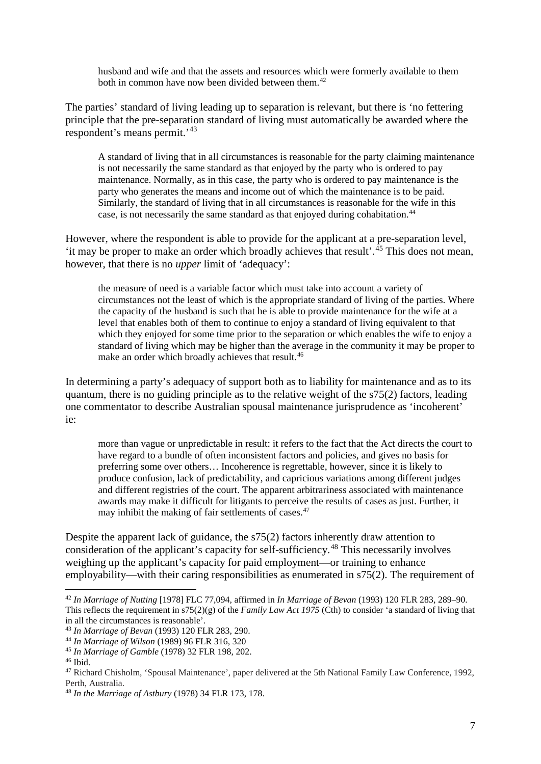husband and wife and that the assets and resources which were formerly available to them both in common have now been divided between them.<sup>[42](#page-7-0)</sup>

The parties' standard of living leading up to separation is relevant, but there is 'no fettering principle that the pre-separation standard of living must automatically be awarded where the respondent's means permit.'[43](#page-7-1)

A standard of living that in all circumstances is reasonable for the party claiming maintenance is not necessarily the same standard as that enjoyed by the party who is ordered to pay maintenance. Normally, as in this case, the party who is ordered to pay maintenance is the party who generates the means and income out of which the maintenance is to be paid. Similarly, the standard of living that in all circumstances is reasonable for the wife in this case, is not necessarily the same standard as that enjoyed during cohabitation.<sup>44</sup>

However, where the respondent is able to provide for the applicant at a pre-separation level, 'it may be proper to make an order which broadly achieves that result'.<sup>[45](#page-7-3)</sup> This does not mean, however, that there is no *upper* limit of 'adequacy':

the measure of need is a variable factor which must take into account a variety of circumstances not the least of which is the appropriate standard of living of the parties. Where the capacity of the husband is such that he is able to provide maintenance for the wife at a level that enables both of them to continue to enjoy a standard of living equivalent to that which they enjoyed for some time prior to the separation or which enables the wife to enjoy a standard of living which may be higher than the average in the community it may be proper to make an order which broadly achieves that result.<sup>[46](#page-7-4)</sup>

In determining a party's adequacy of support both as to liability for maintenance and as to its quantum, there is no guiding principle as to the relative weight of the s75(2) factors, leading one commentator to describe Australian spousal maintenance jurisprudence as 'incoherent' ie:

more than vague or unpredictable in result: it refers to the fact that the Act directs the court to have regard to a bundle of often inconsistent factors and policies, and gives no basis for preferring some over others… Incoherence is regrettable, however, since it is likely to produce confusion, lack of predictability, and capricious variations among different judges and different registries of the court. The apparent arbitrariness associated with maintenance awards may make it difficult for litigants to perceive the results of cases as just. Further, it may inhibit the making of fair settlements of cases.<sup>[47](#page-7-5)</sup>

Despite the apparent lack of guidance, the s75(2) factors inherently draw attention to consideration of the applicant's capacity for self-sufficiency. [48](#page-7-6) This necessarily involves weighing up the applicant's capacity for paid employment—or training to enhance employability—with their caring responsibilities as enumerated in s75(2). The requirement of

<span id="page-7-0"></span> <sup>42</sup> *In Marriage of Nutting* [1978] FLC 77,094, affirmed in *In Marriage of Bevan* (1993) 120 FLR 283, 289–90. This reflects the requirement in s75(2)(g) of the *Family Law Act 1975* (Cth) to consider 'a standard of living that in all the circumstances is reasonable'.

<span id="page-7-1"></span><sup>43</sup> *In Marriage of Bevan* (1993) 120 FLR 283, 290.

<span id="page-7-2"></span><sup>44</sup> *In Marriage of Wilson* (1989) 96 FLR 316, 320

<span id="page-7-3"></span><sup>45</sup> *In Marriage of Gamble* (1978) 32 FLR 198, 202.

<span id="page-7-4"></span><sup>46</sup> Ibid.

<span id="page-7-5"></span><sup>47</sup> Richard Chisholm, 'Spousal Maintenance', paper delivered at the 5th National Family Law Conference, 1992, Perth, Australia.

<span id="page-7-6"></span><sup>48</sup> *In the Marriage of Astbury* (1978) 34 FLR 173, 178.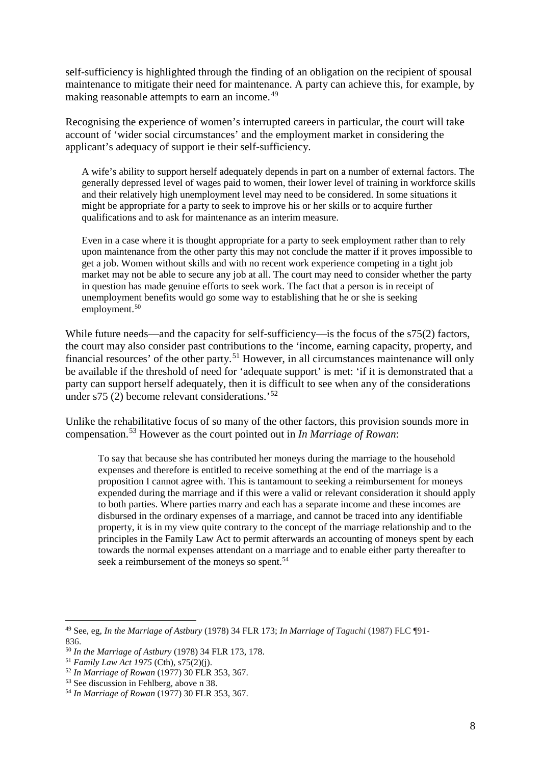self-sufficiency is highlighted through the finding of an obligation on the recipient of spousal maintenance to mitigate their need for maintenance. A party can achieve this, for example, by making reasonable attempts to earn an income.<sup>[49](#page-8-0)</sup>

Recognising the experience of women's interrupted careers in particular, the court will take account of 'wider social circumstances' and the employment market in considering the applicant's adequacy of support ie their self-sufficiency.

A wife's ability to support herself adequately depends in part on a number of external factors. The generally depressed level of wages paid to women, their lower level of training in workforce skills and their relatively high unemployment level may need to be considered. In some situations it might be appropriate for a party to seek to improve his or her skills or to acquire further qualifications and to ask for maintenance as an interim measure.

Even in a case where it is thought appropriate for a party to seek employment rather than to rely upon maintenance from the other party this may not conclude the matter if it proves impossible to get a job. Women without skills and with no recent work experience competing in a tight job market may not be able to secure any job at all. The court may need to consider whether the party in question has made genuine efforts to seek work. The fact that a person is in receipt of unemployment benefits would go some way to establishing that he or she is seeking employment.<sup>[50](#page-8-1)</sup>

While future needs—and the capacity for self-sufficiency—is the focus of the s75(2) factors, the court may also consider past contributions to the 'income, earning capacity, property, and financial resources' of the other party.<sup>[51](#page-8-2)</sup> However, in all circumstances maintenance will only be available if the threshold of need for 'adequate support' is met: 'if it is demonstrated that a party can support herself adequately, then it is difficult to see when any of the considerations under s75 (2) become relevant considerations.'[52](#page-8-3)

Unlike the rehabilitative focus of so many of the other factors, this provision sounds more in compensation.[53](#page-8-4) However as the court pointed out in *In Marriage of Rowan*:

To say that because she has contributed her moneys during the marriage to the household expenses and therefore is entitled to receive something at the end of the marriage is a proposition I cannot agree with. This is tantamount to seeking a reimbursement for moneys expended during the marriage and if this were a valid or relevant consideration it should apply to both parties. Where parties marry and each has a separate income and these incomes are disbursed in the ordinary expenses of a marriage, and cannot be traced into any identifiable property, it is in my view quite contrary to the concept of the marriage relationship and to the principles in the Family Law Act to permit afterwards an accounting of moneys spent by each towards the normal expenses attendant on a marriage and to enable either party thereafter to seek a reimbursement of the moneys so spent.<sup>[54](#page-8-5)</sup>

<span id="page-8-0"></span> <sup>49</sup> See, eg, *In the Marriage of Astbury* (1978) 34 FLR 173; *In Marriage of Taguchi* (1987) FLC ¶91- 836.

<span id="page-8-1"></span><sup>50</sup> *In the Marriage of Astbury* (1978) 34 FLR 173, 178.

<span id="page-8-2"></span><sup>51</sup> *Family Law Act 1975* (Cth), s75(2)(j).

<span id="page-8-3"></span><sup>52</sup> *In Marriage of Rowan* (1977) 30 FLR 353, 367.

<span id="page-8-4"></span><sup>53</sup> See discussion in Fehlberg, above n [38.](#page-6-7)

<span id="page-8-5"></span><sup>54</sup> *In Marriage of Rowan* (1977) 30 FLR 353, 367.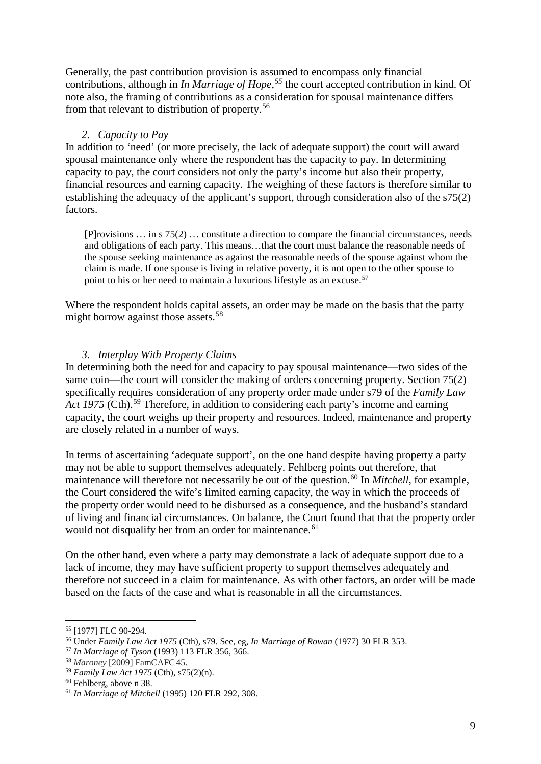Generally, the past contribution provision is assumed to encompass only financial contributions, although in *In Marriage of Hope,[55](#page-9-0)* the court accepted contribution in kind. Of note also, the framing of contributions as a consideration for spousal maintenance differs from that relevant to distribution of property.[56](#page-9-1)

## *2. Capacity to Pay*

In addition to 'need' (or more precisely, the lack of adequate support) the court will award spousal maintenance only where the respondent has the capacity to pay. In determining capacity to pay, the court considers not only the party's income but also their property, financial resources and earning capacity. The weighing of these factors is therefore similar to establishing the adequacy of the applicant's support, through consideration also of the s75(2) factors.

[P]rovisions … in s 75(2) … constitute a direction to compare the financial circumstances, needs and obligations of each party. This means…that the court must balance the reasonable needs of the spouse seeking maintenance as against the reasonable needs of the spouse against whom the claim is made. If one spouse is living in relative poverty, it is not open to the other spouse to point to his or her need to maintain a luxurious lifestyle as an excuse.<sup>57</sup>

Where the respondent holds capital assets, an order may be made on the basis that the party might borrow against those assets.<sup>[58](#page-9-3)</sup>

## *3. Interplay With Property Claims*

In determining both the need for and capacity to pay spousal maintenance—two sides of the same coin—the court will consider the making of orders concerning property. Section 75(2) specifically requires consideration of any property order made under s79 of the *Family Law*  Act 1975 (Cth).<sup>[59](#page-9-4)</sup> Therefore, in addition to considering each party's income and earning capacity, the court weighs up their property and resources. Indeed, maintenance and property are closely related in a number of ways.

In terms of ascertaining 'adequate support', on the one hand despite having property a party may not be able to support themselves adequately. Fehlberg points out therefore, that maintenance will therefore not necessarily be out of the question.<sup>[60](#page-9-5)</sup> In *Mitchell*, for example, the Court considered the wife's limited earning capacity, the way in which the proceeds of the property order would need to be disbursed as a consequence, and the husband's standard of living and financial circumstances. On balance, the Court found that that the property order would not disqualify her from an order for maintenance.<sup>[61](#page-9-6)</sup>

On the other hand, even where a party may demonstrate a lack of adequate support due to a lack of income, they may have sufficient property to support themselves adequately and therefore not succeed in a claim for maintenance. As with other factors, an order will be made based on the facts of the case and what is reasonable in all the circumstances.

<span id="page-9-0"></span> <sup>55</sup> [1977] FLC 90-294.

<span id="page-9-1"></span><sup>56</sup> Under *Family Law Act 1975* (Cth), s79. See, eg, *In Marriage of Rowan* (1977) 30 FLR 353.

<span id="page-9-2"></span><sup>57</sup> *In Marriage of Tyson* (1993) 113 FLR 356, 366.

<span id="page-9-3"></span><sup>58</sup> *Maroney* [2009] FamCAFC45.

<span id="page-9-4"></span><sup>59</sup> *Family Law Act 1975* (Cth), s75(2)(n).

<span id="page-9-5"></span><sup>60</sup> Fehlberg, above n [38.](#page-6-7)

<span id="page-9-6"></span><sup>61</sup> *In Marriage of Mitchell* (1995) 120 FLR 292, 308.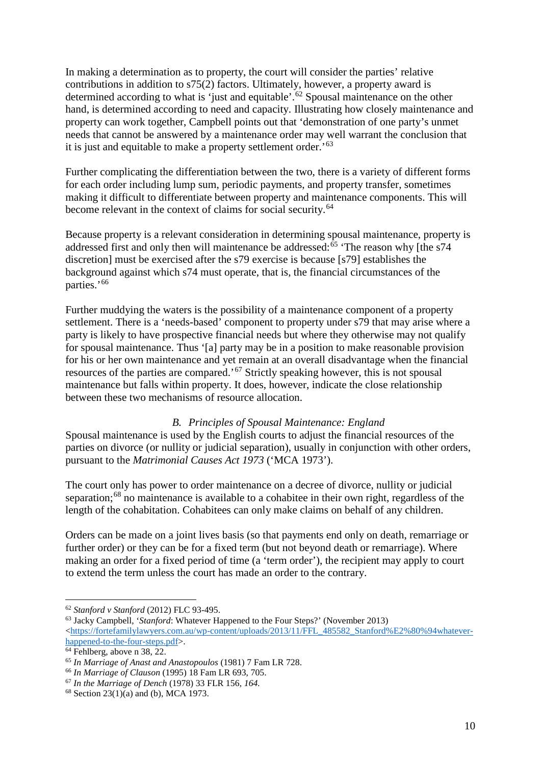In making a determination as to property, the court will consider the parties' relative contributions in addition to s75(2) factors. Ultimately, however, a property award is determined according to what is 'just and equitable'.<sup>[62](#page-10-0)</sup> Spousal maintenance on the other hand, is determined according to need and capacity. Illustrating how closely maintenance and property can work together, Campbell points out that 'demonstration of one party's unmet needs that cannot be answered by a maintenance order may well warrant the conclusion that it is just and equitable to make a property settlement order.'<sup>[63](#page-10-1)</sup>

Further complicating the differentiation between the two, there is a variety of different forms for each order including lump sum, periodic payments, and property transfer, sometimes making it difficult to differentiate between property and maintenance components. This will become relevant in the context of claims for social security.<sup>[64](#page-10-2)</sup>

Because property is a relevant consideration in determining spousal maintenance, property is addressed first and only then will maintenance be addressed: $65$  'The reason why [the s74 discretion] must be exercised after the s79 exercise is because [s79] establishes the background against which s74 must operate, that is, the financial circumstances of the parties.'[66](#page-10-4)

Further muddying the waters is the possibility of a maintenance component of a property settlement. There is a 'needs-based' component to property under s79 that may arise where a party is likely to have prospective financial needs but where they otherwise may not qualify for spousal maintenance. Thus '[a] party may be in a position to make reasonable provision for his or her own maintenance and yet remain at an overall disadvantage when the financial resources of the parties are compared.'[67](#page-10-5) Strictly speaking however, this is not spousal maintenance but falls within property. It does, however, indicate the close relationship between these two mechanisms of resource allocation.

# *B. Principles of Spousal Maintenance: England*

Spousal maintenance is used by the English courts to adjust the financial resources of the parties on divorce (or nullity or judicial separation), usually in conjunction with other orders, pursuant to the *Matrimonial Causes Act 1973* ('MCA 1973').

The court only has power to order maintenance on a decree of divorce, nullity or judicial separation; $68$  no maintenance is available to a cohabitee in their own right, regardless of the length of the cohabitation. Cohabitees can only make claims on behalf of any children.

Orders can be made on a joint lives basis (so that payments end only on death, remarriage or further order) or they can be for a fixed term (but not beyond death or remarriage). Where making an order for a fixed period of time (a 'term order'), the recipient may apply to court to extend the term unless the court has made an order to the contrary.

<span id="page-10-0"></span> <sup>62</sup> *Stanford v Stanford* (2012) FLC 93-495.

<span id="page-10-1"></span><sup>63</sup> Jacky Campbell, '*Stanford*: Whatever Happened to the Four Steps?' (November 2013) <https://fortefamilylawyers.com.au/wp-content/uploads/2013/11/FFL\_485582\_Stanford%E2%80%94whatever-<br>happened-to-the-four-steps.pdf>.

<span id="page-10-2"></span> $\frac{64 \text{ Fehlberg, above n 38, 22.}}{64 \text{ Fehlberg, above n 38, 22.}}$  $\frac{64 \text{ Fehlberg, above n 38, 22.}}{64 \text{ Fehlberg, above n 38, 22.}}$  $\frac{64 \text{ Fehlberg, above n 38, 22.}}{64 \text{ Fehlberg, above n 38, 22.}}$ 

<span id="page-10-3"></span><sup>65</sup> *In Marriage of Anast and Anastopoulos* (1981) 7 Fam LR 728.

<span id="page-10-4"></span><sup>66</sup> *In Marriage of Clauson* (1995) 18 Fam LR 693, 705.

<span id="page-10-5"></span><sup>67</sup> *In the Marriage of Dench* (1978) 33 FLR 156*, 164.*

<span id="page-10-6"></span> $68$  Section 23(1)(a) and (b), MCA 1973.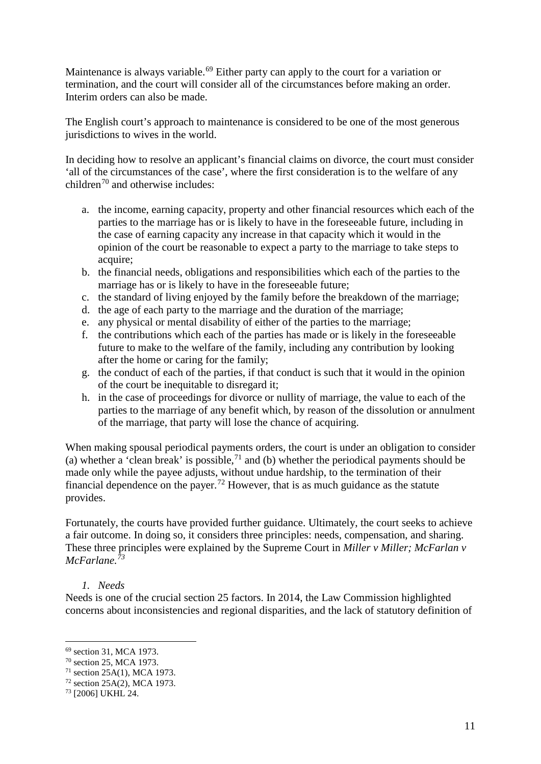Maintenance is always variable.<sup>[69](#page-11-0)</sup> Either party can apply to the court for a variation or termination, and the court will consider all of the circumstances before making an order. Interim orders can also be made.

The English court's approach to maintenance is considered to be one of the most generous jurisdictions to wives in the world.

In deciding how to resolve an applicant's financial claims on divorce, the court must consider 'all of the circumstances of the case', where the first consideration is to the welfare of any children[70](#page-11-1) and otherwise includes:

- a. the income, earning capacity, property and other financial resources which each of the parties to the marriage has or is likely to have in the foreseeable future, including in the case of earning capacity any increase in that capacity which it would in the opinion of the court be reasonable to expect a party to the marriage to take steps to acquire;
- b. the financial needs, obligations and responsibilities which each of the parties to the marriage has or is likely to have in the foreseeable future;
- c. the standard of living enjoyed by the family before the breakdown of the marriage;
- d. the age of each party to the marriage and the duration of the marriage;
- e. any physical or mental disability of either of the parties to the marriage;
- f. the contributions which each of the parties has made or is likely in the foreseeable future to make to the welfare of the family, including any contribution by looking after the home or caring for the family;
- g. the conduct of each of the parties, if that conduct is such that it would in the opinion of the court be inequitable to disregard it;
- h. in the case of proceedings for divorce or nullity of marriage, the value to each of the parties to the marriage of any benefit which, by reason of the dissolution or annulment of the marriage, that party will lose the chance of acquiring.

When making spousal periodical payments orders, the court is under an obligation to consider (a) whether a 'clean break' is possible,  $71$  and (b) whether the periodical payments should be made only while the payee adjusts, without undue hardship, to the termination of their financial dependence on the payer.<sup>[72](#page-11-3)</sup> However, that is as much guidance as the statute provides.

Fortunately, the courts have provided further guidance. Ultimately, the court seeks to achieve a fair outcome. In doing so, it considers three principles: needs, compensation, and sharing. These three principles were explained by the Supreme Court in *Miller v Miller; McFarlan v McFarlane.[73](#page-11-4)*

## *1. Needs*

Needs is one of the crucial section 25 factors. In 2014, the Law Commission highlighted concerns about inconsistencies and regional disparities, and the lack of statutory definition of

<span id="page-11-0"></span> <sup>69</sup> section 31, MCA 1973.

<span id="page-11-1"></span><sup>70</sup> section 25, MCA 1973.

<span id="page-11-2"></span><sup>71</sup> section 25A(1), MCA 1973.

<span id="page-11-3"></span><sup>72</sup> section 25A(2), MCA 1973.

<span id="page-11-4"></span><sup>73</sup> [2006] UKHL 24.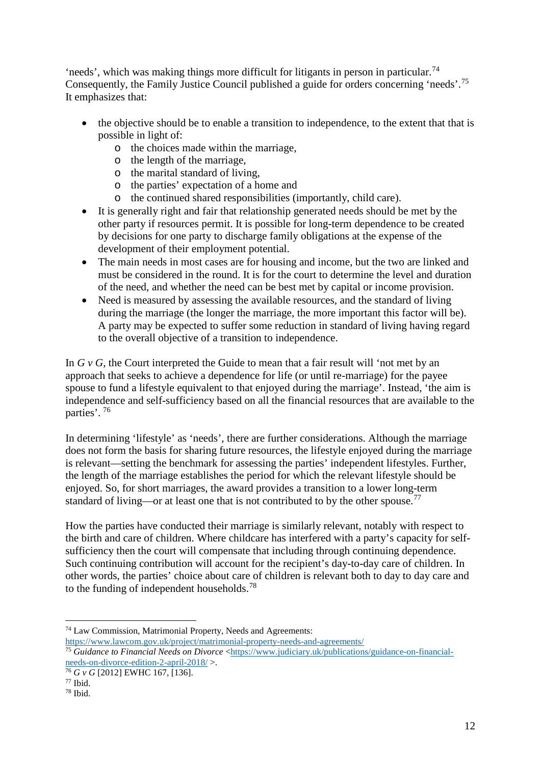'needs', which was making things more difficult for litigants in person in particular.<sup>[74](#page-12-0)</sup> Consequently, the Family Justice Council published a guide for orders concerning 'needs'.<sup>[75](#page-12-1)</sup> It emphasizes that:

- the objective should be to enable a transition to independence, to the extent that that is possible in light of:
	- o the choices made within the marriage,
	- o the length of the marriage,
	- o the marital standard of living,
	- o the parties' expectation of a home and
	- o the continued shared responsibilities (importantly, child care).
- It is generally right and fair that relationship generated needs should be met by the other party if resources permit. It is possible for long-term dependence to be created by decisions for one party to discharge family obligations at the expense of the development of their employment potential.
- The main needs in most cases are for housing and income, but the two are linked and must be considered in the round. It is for the court to determine the level and duration of the need, and whether the need can be best met by capital or income provision.
- Need is measured by assessing the available resources, and the standard of living during the marriage (the longer the marriage, the more important this factor will be). A party may be expected to suffer some reduction in standard of living having regard to the overall objective of a transition to independence.

In *G v G*, the Court interpreted the Guide to mean that a fair result will 'not met by an approach that seeks to achieve a dependence for life (or until re-marriage) for the payee spouse to fund a lifestyle equivalent to that enjoyed during the marriage'. Instead, 'the aim is independence and self-sufficiency based on all the financial resources that are available to the parties'. [76](#page-12-2)

In determining 'lifestyle' as 'needs', there are further considerations. Although the marriage does not form the basis for sharing future resources, the lifestyle enjoyed during the marriage is relevant—setting the benchmark for assessing the parties' independent lifestyles. Further, the length of the marriage establishes the period for which the relevant lifestyle should be enjoyed. So, for short marriages, the award provides a transition to a lower long-term standard of living—or at least one that is not contributed to by the other spouse.<sup>[77](#page-12-3)</sup>

How the parties have conducted their marriage is similarly relevant, notably with respect to the birth and care of children. Where childcare has interfered with a party's capacity for selfsufficiency then the court will compensate that including through continuing dependence. Such continuing contribution will account for the recipient's day-to-day care of children. In other words, the parties' choice about care of children is relevant both to day to day care and to the funding of independent households.[78](#page-12-4)

<span id="page-12-0"></span> <sup>74</sup> Law Commission, Matrimonial Property, Needs and Agreements: https://www.lawcom.gov.uk/project/matrimonial-property-needs-and-agreements/

<span id="page-12-1"></span><sup>&</sup>lt;sup>75</sup> Guidance to Financial Needs on Divorce <https://www.judiciary.uk/publications/guidance-on-financialneeds-on-divorce-edition-2-april-2018/ >.

<span id="page-12-2"></span><sup>76</sup> *G v G* [2012] EWHC 167, [136].

<span id="page-12-3"></span> $77$  Ibid.

<span id="page-12-4"></span><sup>78</sup> Ibid.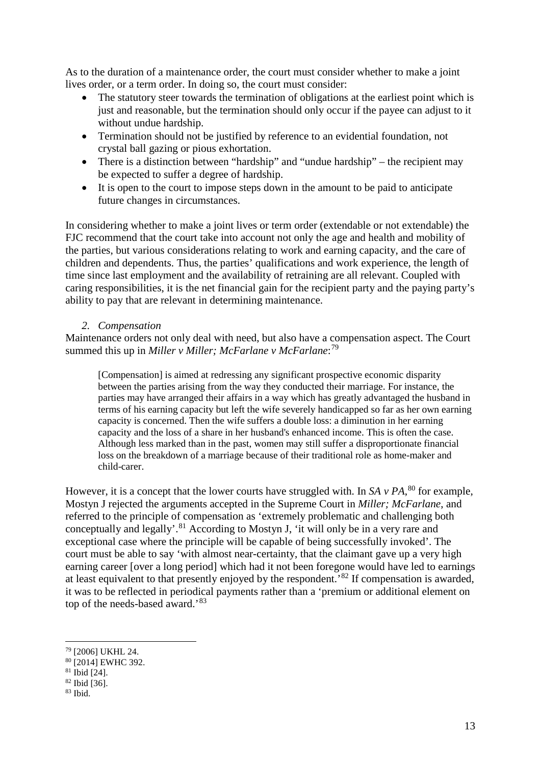As to the duration of a maintenance order, the court must consider whether to make a joint lives order, or a term order. In doing so, the court must consider:

- The statutory steer towards the termination of obligations at the earliest point which is just and reasonable, but the termination should only occur if the payee can adjust to it without undue hardship.
- Termination should not be justified by reference to an evidential foundation, not crystal ball gazing or pious exhortation.
- There is a distinction between "hardship" and "undue hardship" the recipient may be expected to suffer a degree of hardship.
- It is open to the court to impose steps down in the amount to be paid to anticipate future changes in circumstances.

In considering whether to make a joint lives or term order (extendable or not extendable) the FJC recommend that the court take into account not only the age and health and mobility of the parties, but various considerations relating to work and earning capacity, and the care of children and dependents. Thus, the parties' qualifications and work experience, the length of time since last employment and the availability of retraining are all relevant. Coupled with caring responsibilities, it is the net financial gain for the recipient party and the paying party's ability to pay that are relevant in determining maintenance.

## *2. Compensation*

Maintenance orders not only deal with need, but also have a compensation aspect. The Court summed this up in *Miller v Miller; McFarlane v McFarlane*: [79](#page-13-0)

[Compensation] is aimed at redressing any significant prospective economic disparity between the parties arising from the way they conducted their marriage. For instance, the parties may have arranged their affairs in a way which has greatly advantaged the husband in terms of his earning capacity but left the wife severely handicapped so far as her own earning capacity is concerned. Then the wife suffers a double loss: a diminution in her earning capacity and the loss of a share in her husband's enhanced income. This is often the case. Although less marked than in the past, women may still suffer a disproportionate financial loss on the breakdown of a marriage because of their traditional role as home-maker and child-carer.

However, it is a concept that the lower courts have struggled with. In *SA v PA*, [80](#page-13-1) for example, Mostyn J rejected the arguments accepted in the Supreme Court in *Miller; McFarlane*, and referred to the principle of compensation as 'extremely problematic and challenging both conceptually and legally'.<sup>[81](#page-13-2)</sup> According to Mostyn J, 'it will only be in a very rare and exceptional case where the principle will be capable of being successfully invoked'. The court must be able to say 'with almost near-certainty, that the claimant gave up a very high earning career [over a long period] which had it not been foregone would have led to earnings at least equivalent to that presently enjoyed by the respondent.<sup>[82](#page-13-3)</sup> If compensation is awarded, it was to be reflected in periodical payments rather than a 'premium or additional element on top of the needs-based award.'[83](#page-13-4)

<span id="page-13-0"></span> <sup>79</sup> [2006] UKHL 24.

<span id="page-13-1"></span><sup>80 [2014]</sup> EWHC 392.

<span id="page-13-2"></span><sup>81</sup> Ibid [24].

<span id="page-13-3"></span><sup>82</sup> Ibid [36].

<span id="page-13-4"></span> $83$  Ibid.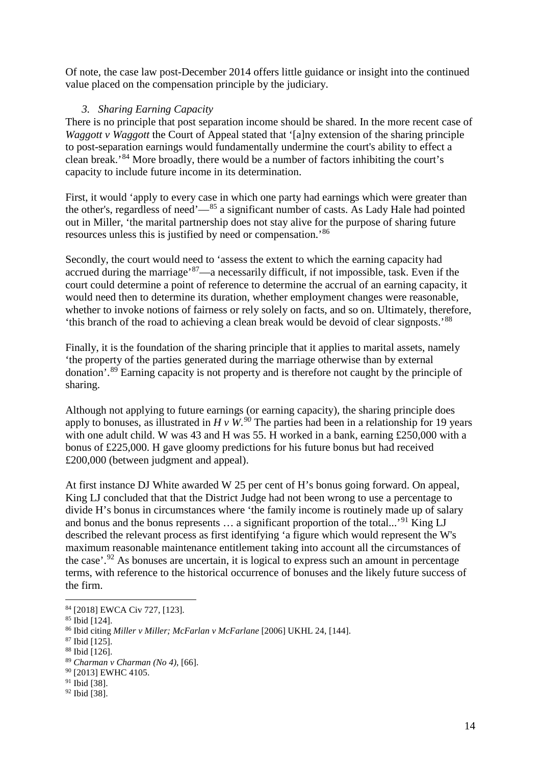Of note, the case law post-December 2014 offers little guidance or insight into the continued value placed on the compensation principle by the judiciary.

## *3. Sharing Earning Capacity*

There is no principle that post separation income should be shared. In the more recent case of *Waggott v Waggott* the Court of Appeal stated that '[a]ny extension of the sharing principle to post-separation earnings would fundamentally undermine the court's ability to effect a clean break.'[84](#page-14-0) More broadly, there would be a number of factors inhibiting the court's capacity to include future income in its determination.

First, it would 'apply to every case in which one party had earnings which were greater than the other's, regardless of need'— $85$  a significant number of casts. As Lady Hale had pointed out in Miller, 'the marital partnership does not stay alive for the purpose of sharing future resources unless this is justified by need or compensation.'[86](#page-14-2)

Secondly, the court would need to 'assess the extent to which the earning capacity had accrued during the marriage'[87—](#page-14-3)a necessarily difficult, if not impossible, task. Even if the court could determine a point of reference to determine the accrual of an earning capacity, it would need then to determine its duration, whether employment changes were reasonable, whether to invoke notions of fairness or rely solely on facts, and so on. Ultimately, therefore, 'this branch of the road to achieving a clean break would be devoid of clear signposts.'[88](#page-14-4)

Finally, it is the foundation of the sharing principle that it applies to marital assets, namely 'the property of the parties generated during the marriage otherwise than by external donation'.[89](#page-14-5) Earning capacity is not property and is therefore not caught by the principle of sharing.

Although not applying to future earnings (or earning capacity), the sharing principle does apply to bonuses, as illustrated in  $H v W$ . <sup>[90](#page-14-6)</sup> The parties had been in a relationship for 19 years with one adult child. W was 43 and H was 55. H worked in a bank, earning £250,000 with a bonus of £225,000. H gave gloomy predictions for his future bonus but had received £200,000 (between judgment and appeal).

At first instance DJ White awarded W 25 per cent of H's bonus going forward. On appeal, King LJ concluded that that the District Judge had not been wrong to use a percentage to divide H's bonus in circumstances where 'the family income is routinely made up of salary and bonus and the bonus represents ... a significant proportion of the total...'<sup>[91](#page-14-7)</sup> King LJ described the relevant process as first identifying 'a figure which would represent the W's maximum reasonable maintenance entitlement taking into account all the circumstances of the case'.<sup>[92](#page-14-8)</sup> As bonuses are uncertain, it is logical to express such an amount in percentage terms, with reference to the historical occurrence of bonuses and the likely future success of the firm.

<span id="page-14-0"></span> <sup>84</sup> [2018] EWCA Civ 727, [123].

<span id="page-14-1"></span><sup>&</sup>lt;sup>85</sup> Ibid [124].

<span id="page-14-2"></span><sup>86</sup> Ibid citing *Miller v Miller; McFarlan v McFarlane* [2006] UKHL 24, [144].

<span id="page-14-3"></span><sup>87</sup> Ibid [125].

<span id="page-14-4"></span><sup>88</sup> Ibid [126].

<span id="page-14-5"></span><sup>89</sup> *Charman v Charman (No 4)*, [66].

<span id="page-14-6"></span><sup>&</sup>lt;sup>90</sup> [2013] EWHC 4105.

<span id="page-14-7"></span><sup>91</sup> Ibid [38].

<span id="page-14-8"></span><sup>92</sup> Ibid [38].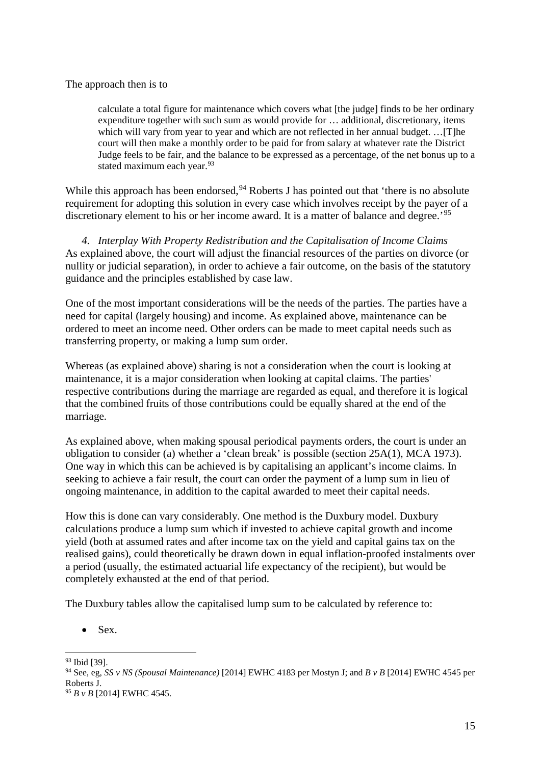The approach then is to

calculate a total figure for maintenance which covers what [the judge] finds to be her ordinary expenditure together with such sum as would provide for … additional, discretionary, items which will vary from year to year and which are not reflected in her annual budget. ... [T]he court will then make a monthly order to be paid for from salary at whatever rate the District Judge feels to be fair, and the balance to be expressed as a percentage, of the net bonus up to a stated maximum each year.<sup>[93](#page-15-0)</sup>

While this approach has been endorsed,  $94$  Roberts J has pointed out that 'there is no absolute requirement for adopting this solution in every case which involves receipt by the payer of a discretionary element to his or her income award. It is a matter of balance and degree.<sup>'[95](#page-15-2)</sup>

*4. Interplay With Property Redistribution and the Capitalisation of Income Claims* As explained above, the court will adjust the financial resources of the parties on divorce (or nullity or judicial separation), in order to achieve a fair outcome, on the basis of the statutory guidance and the principles established by case law.

One of the most important considerations will be the needs of the parties. The parties have a need for capital (largely housing) and income. As explained above, maintenance can be ordered to meet an income need. Other orders can be made to meet capital needs such as transferring property, or making a lump sum order.

Whereas (as explained above) sharing is not a consideration when the court is looking at maintenance, it is a major consideration when looking at capital claims. The parties' respective contributions during the marriage are regarded as equal, and therefore it is logical that the combined fruits of those contributions could be equally shared at the end of the marriage.

As explained above, when making spousal periodical payments orders, the court is under an obligation to consider (a) whether a 'clean break' is possible (section 25A(1), MCA 1973). One way in which this can be achieved is by capitalising an applicant's income claims. In seeking to achieve a fair result, the court can order the payment of a lump sum in lieu of ongoing maintenance, in addition to the capital awarded to meet their capital needs.

How this is done can vary considerably. One method is the Duxbury model. Duxbury calculations produce a lump sum which if invested to achieve capital growth and income yield (both at assumed rates and after income tax on the yield and capital gains tax on the realised gains), could theoretically be drawn down in equal inflation-proofed instalments over a period (usually, the estimated actuarial life expectancy of the recipient), but would be completely exhausted at the end of that period.

The Duxbury tables allow the capitalised lump sum to be calculated by reference to:

Sex.

<span id="page-15-0"></span> <sup>93</sup> Ibid [39].

<span id="page-15-1"></span><sup>94</sup> See, eg, *SS v NS (Spousal Maintenance)* [2014] EWHC 4183 per Mostyn J; and *B v B* [2014] EWHC 4545 per Roberts J.

<span id="page-15-2"></span><sup>95</sup> *B v B* [2014] EWHC 4545.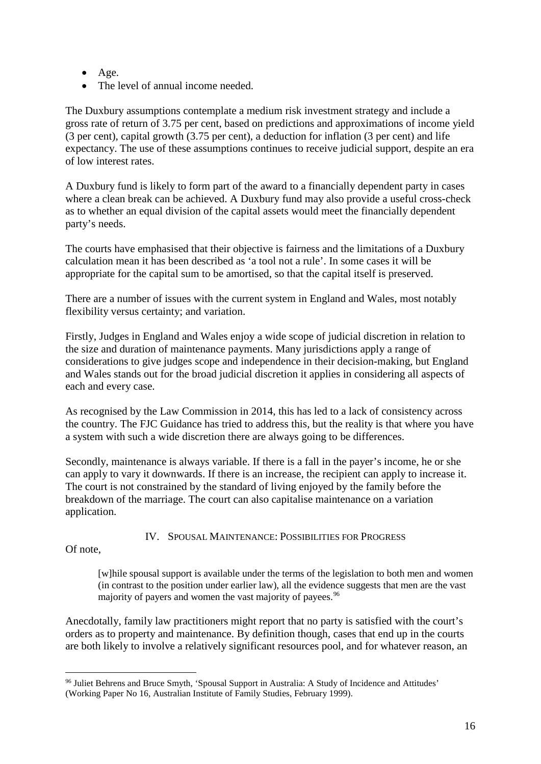- Age.
- The level of annual income needed.

The Duxbury assumptions contemplate a medium risk investment strategy and include a gross rate of return of 3.75 per cent, based on predictions and approximations of income yield (3 per cent), capital growth (3.75 per cent), a deduction for inflation (3 per cent) and life expectancy. The use of these assumptions continues to receive judicial support, despite an era of low interest rates.

A Duxbury fund is likely to form part of the award to a financially dependent party in cases where a clean break can be achieved. A Duxbury fund may also provide a useful cross-check as to whether an equal division of the capital assets would meet the financially dependent party's needs.

The courts have emphasised that their objective is fairness and the limitations of a Duxbury calculation mean it has been described as 'a tool not a rule'. In some cases it will be appropriate for the capital sum to be amortised, so that the capital itself is preserved.

There are a number of issues with the current system in England and Wales, most notably flexibility versus certainty; and variation.

Firstly, Judges in England and Wales enjoy a wide scope of judicial discretion in relation to the size and duration of maintenance payments. Many jurisdictions apply a range of considerations to give judges scope and independence in their decision-making, but England and Wales stands out for the broad judicial discretion it applies in considering all aspects of each and every case.

As recognised by the Law Commission in 2014, this has led to a lack of consistency across the country. The FJC Guidance has tried to address this, but the reality is that where you have a system with such a wide discretion there are always going to be differences.

Secondly, maintenance is always variable. If there is a fall in the payer's income, he or she can apply to vary it downwards. If there is an increase, the recipient can apply to increase it. The court is not constrained by the standard of living enjoyed by the family before the breakdown of the marriage. The court can also capitalise maintenance on a variation application.

IV. SPOUSAL MAINTENANCE: POSSIBILITIES FOR PROGRESS

Of note,

[w]hile spousal support is available under the terms of the legislation to both men and women (in contrast to the position under earlier law), all the evidence suggests that men are the vast majority of payers and women the vast majority of payees.<sup>[96](#page-16-0)</sup>

Anecdotally, family law practitioners might report that no party is satisfied with the court's orders as to property and maintenance. By definition though, cases that end up in the courts are both likely to involve a relatively significant resources pool, and for whatever reason, an

<span id="page-16-0"></span> <sup>96</sup> Juliet Behrens and Bruce Smyth, 'Spousal Support in Australia: A Study of Incidence and Attitudes' (Working Paper No 16, Australian Institute of Family Studies, February 1999).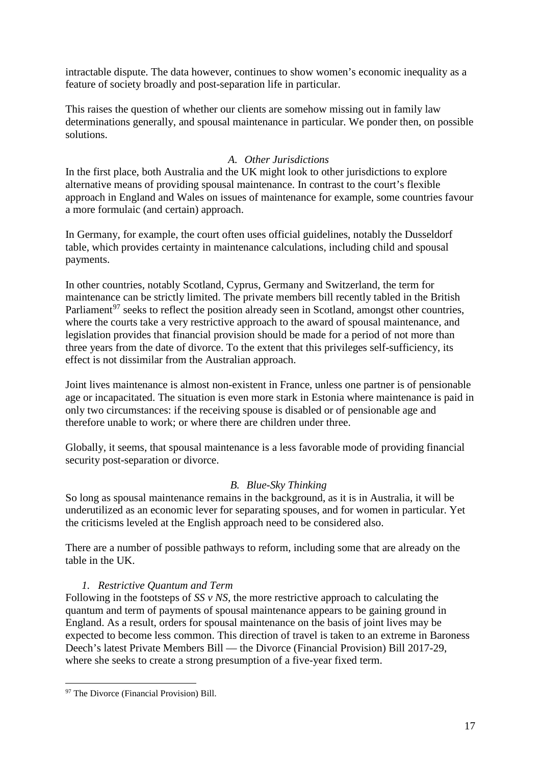intractable dispute. The data however, continues to show women's economic inequality as a feature of society broadly and post-separation life in particular.

This raises the question of whether our clients are somehow missing out in family law determinations generally, and spousal maintenance in particular. We ponder then, on possible solutions.

## *A. Other Jurisdictions*

In the first place, both Australia and the UK might look to other jurisdictions to explore alternative means of providing spousal maintenance. In contrast to the court's flexible approach in England and Wales on issues of maintenance for example, some countries favour a more formulaic (and certain) approach.

In Germany, for example, the court often uses official guidelines, notably the Dusseldorf table, which provides certainty in maintenance calculations, including child and spousal payments.

In other countries, notably Scotland, Cyprus, Germany and Switzerland, the term for maintenance can be strictly limited. The private members bill recently tabled in the British Parliament<sup>[97](#page-17-0)</sup> seeks to reflect the position already seen in Scotland, amongst other countries, where the courts take a very restrictive approach to the award of spousal maintenance, and legislation provides that financial provision should be made for a period of not more than three years from the date of divorce. To the extent that this privileges self-sufficiency, its effect is not dissimilar from the Australian approach.

Joint lives maintenance is almost non-existent in France, unless one partner is of pensionable age or incapacitated. The situation is even more stark in Estonia where maintenance is paid in only two circumstances: if the receiving spouse is disabled or of pensionable age and therefore unable to work; or where there are children under three.

Globally, it seems, that spousal maintenance is a less favorable mode of providing financial security post-separation or divorce.

## *B. Blue-Sky Thinking*

So long as spousal maintenance remains in the background, as it is in Australia, it will be underutilized as an economic lever for separating spouses, and for women in particular. Yet the criticisms leveled at the English approach need to be considered also.

There are a number of possible pathways to reform, including some that are already on the table in the UK.

## *1. Restrictive Quantum and Term*

Following in the footsteps of *SS v NS*, the more restrictive approach to calculating the quantum and term of payments of spousal maintenance appears to be gaining ground in England. As a result, orders for spousal maintenance on the basis of joint lives may be expected to become less common. This direction of travel is taken to an extreme in Baroness Deech's latest Private Members Bill — the Divorce (Financial Provision) Bill 2017-29, where she seeks to create a strong presumption of a five-year fixed term.

<span id="page-17-0"></span><sup>&</sup>lt;sup>97</sup> The Divorce (Financial Provision) Bill.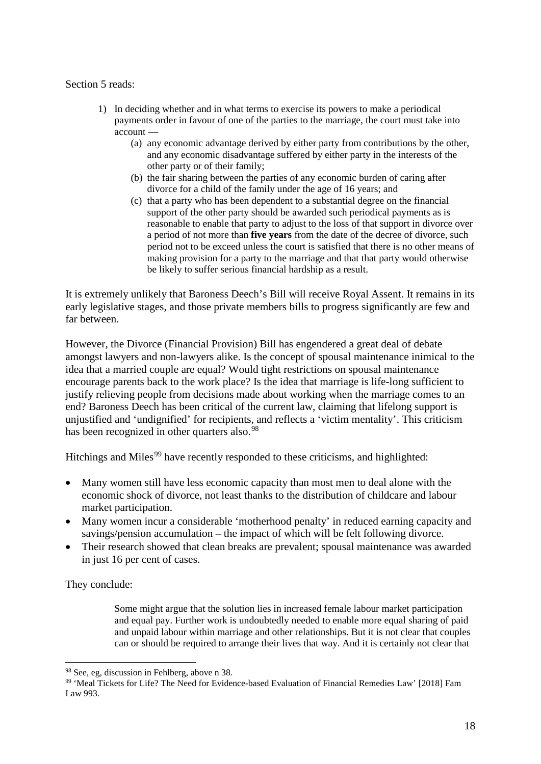#### Section 5 reads:

- 1) In deciding whether and in what terms to exercise its powers to make a periodical payments order in favour of one of the parties to the marriage, the court must take into account —
	- (a) any economic advantage derived by either party from contributions by the other, and any economic disadvantage suffered by either party in the interests of the other party or of their family;
	- (b) the fair sharing between the parties of any economic burden of caring after divorce for a child of the family under the age of 16 years; and
	- (c) that a party who has been dependent to a substantial degree on the financial support of the other party should be awarded such periodical payments as is reasonable to enable that party to adjust to the loss of that support in divorce over a period of not more than **five years** from the date of the decree of divorce, such period not to be exceed unless the court is satisfied that there is no other means of making provision for a party to the marriage and that that party would otherwise be likely to suffer serious financial hardship as a result.

It is extremely unlikely that Baroness Deech's Bill will receive Royal Assent. It remains in its early legislative stages, and those private members bills to progress significantly are few and far between.

However, the Divorce (Financial Provision) Bill has engendered a great deal of debate amongst lawyers and non-lawyers alike. Is the concept of spousal maintenance inimical to the idea that a married couple are equal? Would tight restrictions on spousal maintenance encourage parents back to the work place? Is the idea that marriage is life-long sufficient to justify relieving people from decisions made about working when the marriage comes to an end? Baroness Deech has been critical of the current law, claiming that lifelong support is unjustified and 'undignified' for recipients, and reflects a 'victim mentality'. This criticism has been recognized in other quarters also.<sup>[98](#page-18-0)</sup>

Hitchings and Miles<sup>[99](#page-18-1)</sup> have recently responded to these criticisms, and highlighted:

- Many women still have less economic capacity than most men to deal alone with the economic shock of divorce, not least thanks to the distribution of childcare and labour market participation.
- Many women incur a considerable 'motherhood penalty' in reduced earning capacity and savings/pension accumulation – the impact of which will be felt following divorce.
- Their research showed that clean breaks are prevalent; spousal maintenance was awarded in just 16 per cent of cases.

They conclude:

Some might argue that the solution lies in increased female labour market participation and equal pay. Further work is undoubtedly needed to enable more equal sharing of paid and unpaid labour within marriage and other relationships. But it is not clear that couples can or should be required to arrange their lives that way. And it is certainly not clear that

<span id="page-18-0"></span> <sup>98</sup> See, eg, discussion in Fehlberg, above [n 38.](#page-6-7)

<span id="page-18-1"></span><sup>99</sup> 'Meal Tickets for Life? The Need for Evidence-based Evaluation of Financial Remedies Law' [2018] Fam Law 993.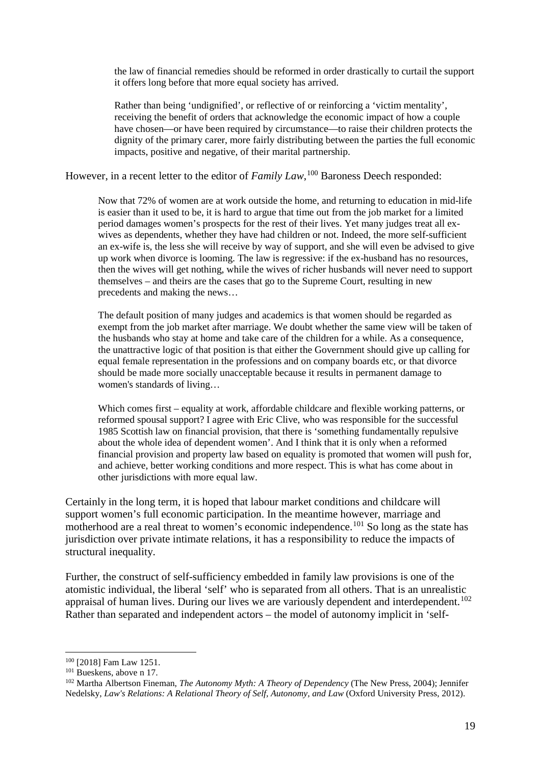the law of financial remedies should be reformed in order drastically to curtail the support it offers long before that more equal society has arrived.

Rather than being 'undignified', or reflective of or reinforcing a 'victim mentality', receiving the benefit of orders that acknowledge the economic impact of how a couple have chosen—or have been required by circumstance—to raise their children protects the dignity of the primary carer, more fairly distributing between the parties the full economic impacts, positive and negative, of their marital partnership.

However, in a recent letter to the editor of *Family Law*, <sup>[100](#page-19-0)</sup> Baroness Deech responded:

Now that 72% of women are at work outside the home, and returning to education in mid-life is easier than it used to be, it is hard to argue that time out from the job market for a limited period damages women's prospects for the rest of their lives. Yet many judges treat all exwives as dependents, whether they have had children or not. Indeed, the more self-sufficient an ex-wife is, the less she will receive by way of support, and she will even be advised to give up work when divorce is looming. The law is regressive: if the ex-husband has no resources, then the wives will get nothing, while the wives of richer husbands will never need to support themselves – and theirs are the cases that go to the Supreme Court, resulting in new precedents and making the news…

The default position of many judges and academics is that women should be regarded as exempt from the job market after marriage. We doubt whether the same view will be taken of the husbands who stay at home and take care of the children for a while. As a consequence, the unattractive logic of that position is that either the Government should give up calling for equal female representation in the professions and on company boards etc, or that divorce should be made more socially unacceptable because it results in permanent damage to women's standards of living…

Which comes first – equality at work, affordable childcare and flexible working patterns, or reformed spousal support? I agree with Eric Clive, who was responsible for the successful 1985 Scottish law on financial provision, that there is 'something fundamentally repulsive about the whole idea of dependent women'. And I think that it is only when a reformed financial provision and property law based on equality is promoted that women will push for, and achieve, better working conditions and more respect. This is what has come about in other jurisdictions with more equal law.

Certainly in the long term, it is hoped that labour market conditions and childcare will support women's full economic participation. In the meantime however, marriage and motherhood are a real threat to women's economic independence.<sup>[101](#page-19-1)</sup> So long as the state has jurisdiction over private intimate relations, it has a responsibility to reduce the impacts of structural inequality.

Further, the construct of self-sufficiency embedded in family law provisions is one of the atomistic individual, the liberal 'self' who is separated from all others. That is an unrealistic appraisal of human lives. During our lives we are variously dependent and interdependent.<sup>[102](#page-19-2)</sup> Rather than separated and independent actors – the model of autonomy implicit in 'self-

<span id="page-19-0"></span> <sup>100</sup> [2018] Fam Law 1251.

<span id="page-19-1"></span><sup>&</sup>lt;sup>101</sup> Bueskens, above n [17.](#page-3-0)

<span id="page-19-2"></span><sup>102</sup> Martha Albertson Fineman, *The Autonomy Myth: A Theory of Dependency* (The New Press, 2004); Jennifer Nedelsky, *Law's Relations: A Relational Theory of Self, Autonomy, and Law* (Oxford University Press, 2012).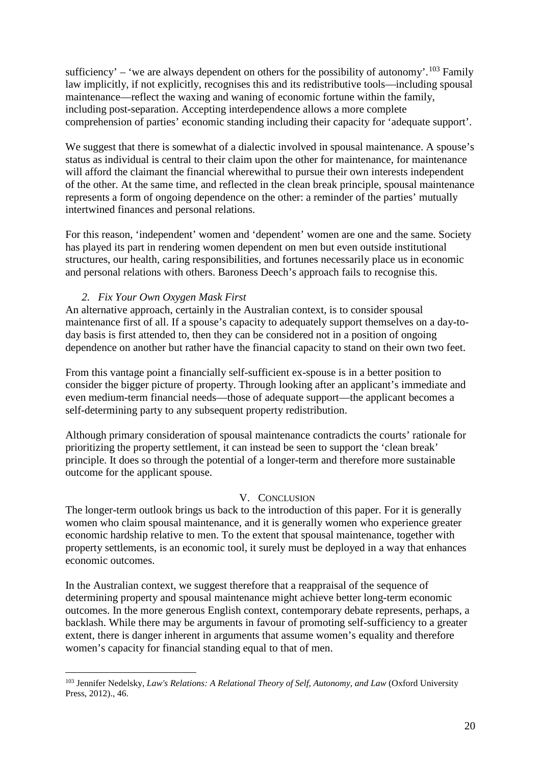sufficiency' – 'we are always dependent on others for the possibility of autonomy'.<sup>[103](#page-20-0)</sup> Family law implicitly, if not explicitly, recognises this and its redistributive tools—including spousal maintenance—reflect the waxing and waning of economic fortune within the family, including post-separation. Accepting interdependence allows a more complete comprehension of parties' economic standing including their capacity for 'adequate support'.

We suggest that there is somewhat of a dialectic involved in spousal maintenance. A spouse's status as individual is central to their claim upon the other for maintenance, for maintenance will afford the claimant the financial wherewithal to pursue their own interests independent of the other. At the same time, and reflected in the clean break principle, spousal maintenance represents a form of ongoing dependence on the other: a reminder of the parties' mutually intertwined finances and personal relations.

For this reason, 'independent' women and 'dependent' women are one and the same. Society has played its part in rendering women dependent on men but even outside institutional structures, our health, caring responsibilities, and fortunes necessarily place us in economic and personal relations with others. Baroness Deech's approach fails to recognise this.

# *2. Fix Your Own Oxygen Mask First*

An alternative approach, certainly in the Australian context, is to consider spousal maintenance first of all. If a spouse's capacity to adequately support themselves on a day-today basis is first attended to, then they can be considered not in a position of ongoing dependence on another but rather have the financial capacity to stand on their own two feet.

From this vantage point a financially self-sufficient ex-spouse is in a better position to consider the bigger picture of property. Through looking after an applicant's immediate and even medium-term financial needs—those of adequate support—the applicant becomes a self-determining party to any subsequent property redistribution.

Although primary consideration of spousal maintenance contradicts the courts' rationale for prioritizing the property settlement, it can instead be seen to support the 'clean break' principle. It does so through the potential of a longer-term and therefore more sustainable outcome for the applicant spouse.

# V. CONCLUSION

The longer-term outlook brings us back to the introduction of this paper. For it is generally women who claim spousal maintenance, and it is generally women who experience greater economic hardship relative to men. To the extent that spousal maintenance, together with property settlements, is an economic tool, it surely must be deployed in a way that enhances economic outcomes.

In the Australian context, we suggest therefore that a reappraisal of the sequence of determining property and spousal maintenance might achieve better long-term economic outcomes. In the more generous English context, contemporary debate represents, perhaps, a backlash. While there may be arguments in favour of promoting self-sufficiency to a greater extent, there is danger inherent in arguments that assume women's equality and therefore women's capacity for financial standing equal to that of men.

<span id="page-20-0"></span> <sup>103</sup> Jennifer Nedelsky, *Law's Relations: A Relational Theory of Self, Autonomy, and Law* (Oxford University Press, 2012)., 46.